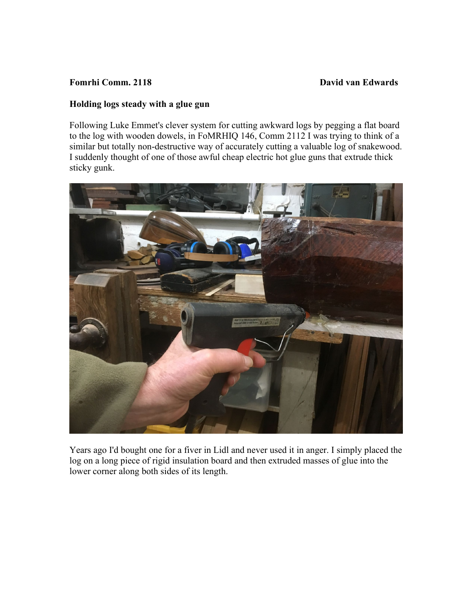## **Fomrhi Comm. 2118 David van Edwards**

## **Holding logs steady with a glue gun**

Following Luke Emmet's clever system for cutting awkward logs by pegging a flat board to the log with wooden dowels, in FoMRHIQ 146, Comm 2112 I was trying to think of a similar but totally non-destructive way of accurately cutting a valuable log of snakewood. I suddenly thought of one of those awful cheap electric hot glue guns that extrude thick sticky gunk.



Years ago I'd bought one for a fiver in Lidl and never used it in anger. I simply placed the log on a long piece of rigid insulation board and then extruded masses of glue into the lower corner along both sides of its length.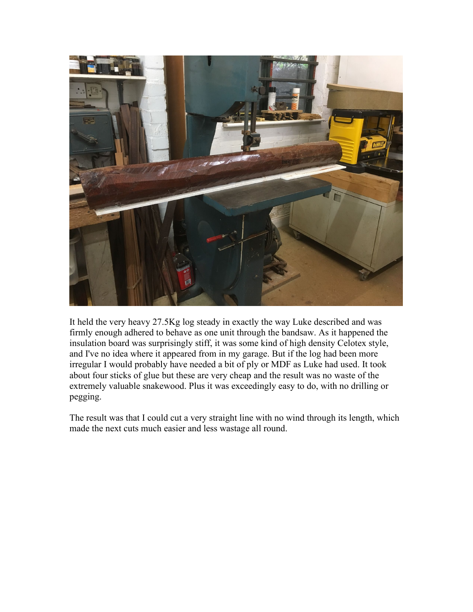

It held the very heavy 27.5Kg log steady in exactly the way Luke described and was firmly enough adhered to behave as one unit through the bandsaw. As it happened the insulation board was surprisingly stiff, it was some kind of high density Celotex style, and I've no idea where it appeared from in my garage. But if the log had been more irregular I would probably have needed a bit of ply or MDF as Luke had used. It took about four sticks of glue but these are very cheap and the result was no waste of the extremely valuable snakewood. Plus it was exceedingly easy to do, with no drilling or pegging.

The result was that I could cut a very straight line with no wind through its length, which made the next cuts much easier and less wastage all round.